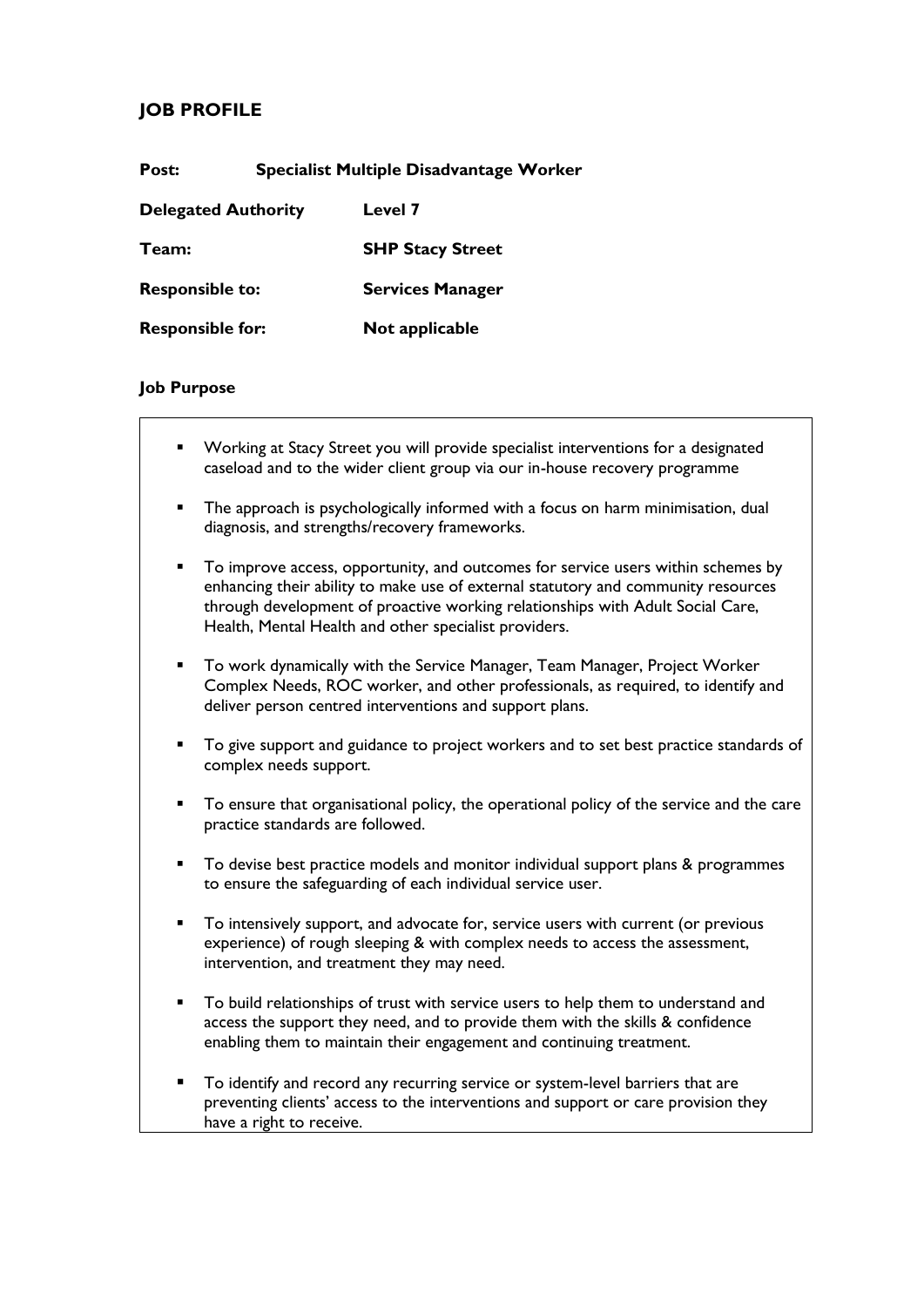# **JOB PROFILE**

| Post:                      | <b>Specialist Multiple Disadvantage Worker</b> |                         |  |
|----------------------------|------------------------------------------------|-------------------------|--|
| <b>Delegated Authority</b> |                                                | Level 7                 |  |
| Team:                      |                                                | <b>SHP Stacy Street</b> |  |
| <b>Responsible to:</b>     |                                                | <b>Services Manager</b> |  |
| <b>Responsible for:</b>    |                                                | Not applicable          |  |

#### **Job Purpose**

- Working at Stacy Street you will provide specialist interventions for a designated caseload and to the wider client group via our in-house recovery programme
- The approach is psychologically informed with a focus on harm minimisation, dual diagnosis, and strengths/recovery frameworks.
- To improve access, opportunity, and outcomes for service users within schemes by enhancing their ability to make use of external statutory and community resources through development of proactive working relationships with Adult Social Care, Health, Mental Health and other specialist providers.
- To work dynamically with the Service Manager, Team Manager, Project Worker Complex Needs, ROC worker, and other professionals, as required, to identify and deliver person centred interventions and support plans.
- To give support and guidance to project workers and to set best practice standards of complex needs support.
- To ensure that organisational policy, the operational policy of the service and the care practice standards are followed.
- To devise best practice models and monitor individual support plans & programmes to ensure the safeguarding of each individual service user.
- To intensively support, and advocate for, service users with current (or previous experience) of rough sleeping & with complex needs to access the assessment, intervention, and treatment they may need.
- To build relationships of trust with service users to help them to understand and access the support they need, and to provide them with the skills & confidence enabling them to maintain their engagement and continuing treatment.
- To identify and record any recurring service or system-level barriers that are preventing clients' access to the interventions and support or care provision they have a right to receive.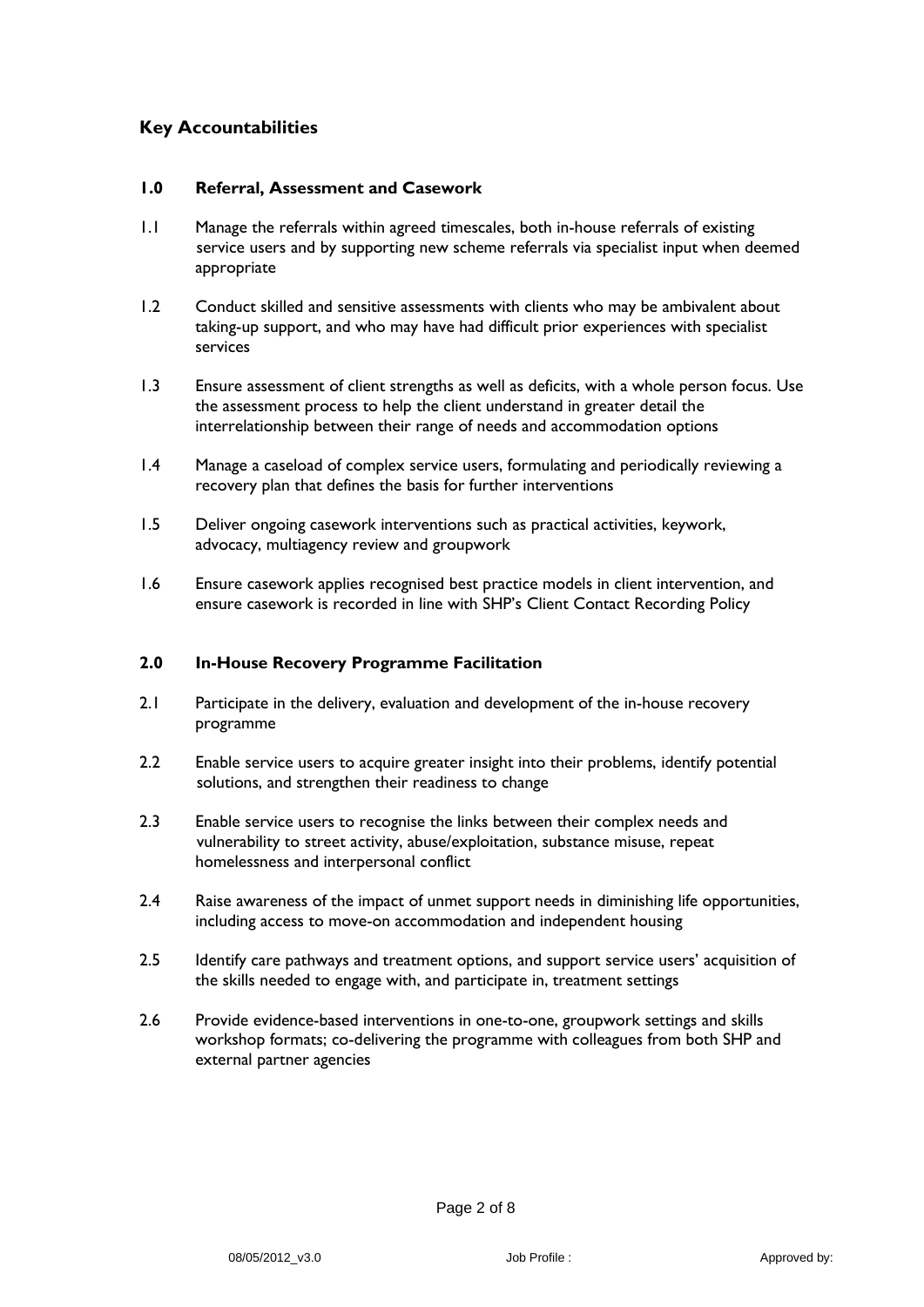# **Key Accountabilities**

#### **1.0 Referral, Assessment and Casework**

- 1.1 Manage the referrals within agreed timescales, both in-house referrals of existing service users and by supporting new scheme referrals via specialist input when deemed appropriate
- 1.2 Conduct skilled and sensitive assessments with clients who may be ambivalent about taking-up support, and who may have had difficult prior experiences with specialist services
- 1.3 Ensure assessment of client strengths as well as deficits, with a whole person focus. Use the assessment process to help the client understand in greater detail the interrelationship between their range of needs and accommodation options
- 1.4 Manage a caseload of complex service users, formulating and periodically reviewing a recovery plan that defines the basis for further interventions
- 1.5 Deliver ongoing casework interventions such as practical activities, keywork, advocacy, multiagency review and groupwork
- 1.6 Ensure casework applies recognised best practice models in client intervention, and ensure casework is recorded in line with SHP's Client Contact Recording Policy

# **2.0 In-House Recovery Programme Facilitation**

- 2.1 Participate in the delivery, evaluation and development of the in-house recovery programme
- 2.2 Enable service users to acquire greater insight into their problems, identify potential solutions, and strengthen their readiness to change
- 2.3 Enable service users to recognise the links between their complex needs and vulnerability to street activity, abuse/exploitation, substance misuse, repeat homelessness and interpersonal conflict
- 2.4 Raise awareness of the impact of unmet support needs in diminishing life opportunities, including access to move-on accommodation and independent housing
- 2.5 Identify care pathways and treatment options, and support service users' acquisition of the skills needed to engage with, and participate in, treatment settings
- 2.6 Provide evidence-based interventions in one-to-one, groupwork settings and skills workshop formats; co-delivering the programme with colleagues from both SHP and external partner agencies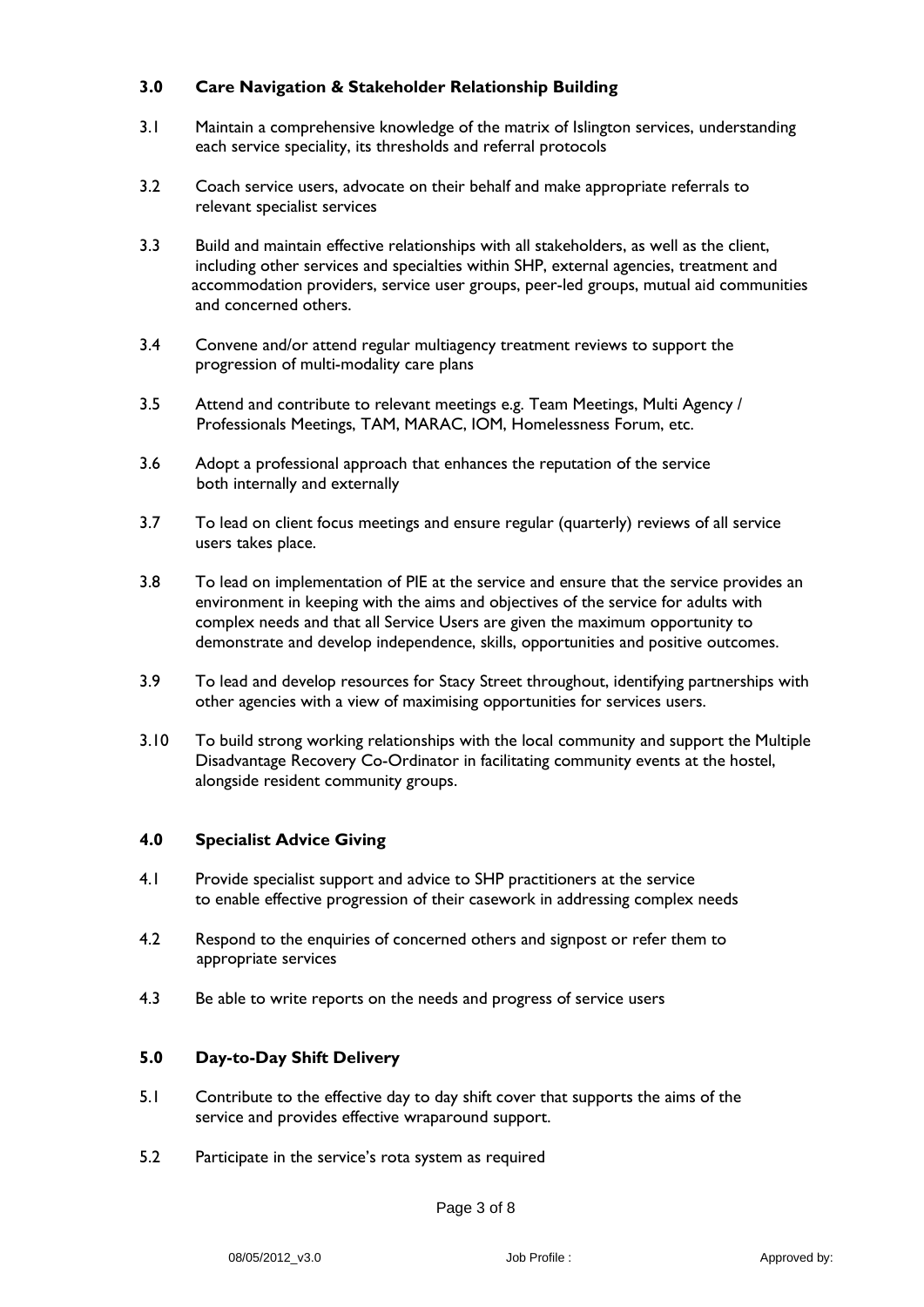# **3.0 Care Navigation & Stakeholder Relationship Building**

- 3.1 Maintain a comprehensive knowledge of the matrix of Islington services, understanding each service speciality, its thresholds and referral protocols
- 3.2 Coach service users, advocate on their behalf and make appropriate referrals to relevant specialist services
- 3.3 Build and maintain effective relationships with all stakeholders, as well as the client, including other services and specialties within SHP, external agencies, treatment and accommodation providers, service user groups, peer-led groups, mutual aid communities and concerned others.
- 3.4 Convene and/or attend regular multiagency treatment reviews to support the progression of multi-modality care plans
- 3.5 Attend and contribute to relevant meetings e.g. Team Meetings, Multi Agency / Professionals Meetings, TAM, MARAC, IOM, Homelessness Forum, etc.
- 3.6 Adopt a professional approach that enhances the reputation of the service both internally and externally
- 3.7 To lead on client focus meetings and ensure regular (quarterly) reviews of all service users takes place.
- 3.8 To lead on implementation of PIE at the service and ensure that the service provides an environment in keeping with the aims and objectives of the service for adults with complex needs and that all Service Users are given the maximum opportunity to demonstrate and develop independence, skills, opportunities and positive outcomes.
- 3.9 To lead and develop resources for Stacy Street throughout, identifying partnerships with other agencies with a view of maximising opportunities for services users.
- 3.10 To build strong working relationships with the local community and support the Multiple Disadvantage Recovery Co-Ordinator in facilitating community events at the hostel, alongside resident community groups.

# **4.0 Specialist Advice Giving**

- 4.1 Provide specialist support and advice to SHP practitioners at the service to enable effective progression of their casework in addressing complex needs
- 4.2 Respond to the enquiries of concerned others and signpost or refer them to appropriate services
- 4.3 Be able to write reports on the needs and progress of service users

# **5.0 Day-to-Day Shift Delivery**

- 5.1 Contribute to the effective day to day shift cover that supports the aims of the service and provides effective wraparound support.
- 5.2 Participate in the service's rota system as required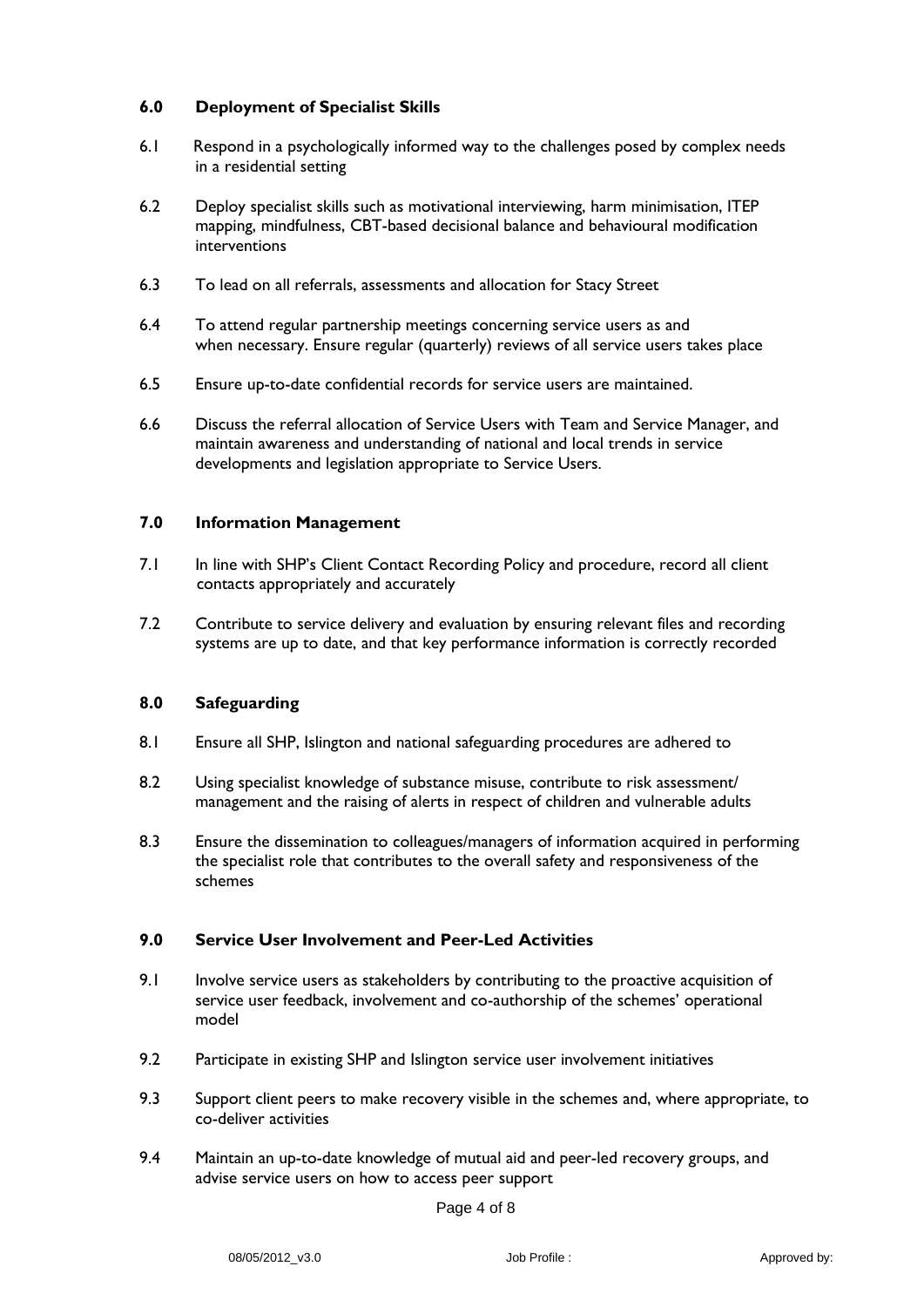# **6.0 Deployment of Specialist Skills**

- 6.1 Respond in a psychologically informed way to the challenges posed by complex needs in a residential setting
- 6.2 Deploy specialist skills such as motivational interviewing, harm minimisation, ITEP mapping, mindfulness, CBT-based decisional balance and behavioural modification interventions
- 6.3 To lead on all referrals, assessments and allocation for Stacy Street
- 6.4 To attend regular partnership meetings concerning service users as and when necessary. Ensure regular (quarterly) reviews of all service users takes place
- 6.5 Ensure up-to-date confidential records for service users are maintained.
- 6.6 Discuss the referral allocation of Service Users with Team and Service Manager, and maintain awareness and understanding of national and local trends in service developments and legislation appropriate to Service Users.

# **7.0 Information Management**

- 7.1 In line with SHP's Client Contact Recording Policy and procedure, record all client contacts appropriately and accurately
- 7.2 Contribute to service delivery and evaluation by ensuring relevant files and recording systems are up to date, and that key performance information is correctly recorded

# **8.0 Safeguarding**

- 8.1 Ensure all SHP, Islington and national safeguarding procedures are adhered to
- 8.2 Using specialist knowledge of substance misuse, contribute to risk assessment/ management and the raising of alerts in respect of children and vulnerable adults
- 8.3 Ensure the dissemination to colleagues/managers of information acquired in performing the specialist role that contributes to the overall safety and responsiveness of the schemes

#### **9.0 Service User Involvement and Peer-Led Activities**

- 9.1 Involve service users as stakeholders by contributing to the proactive acquisition of service user feedback, involvement and co-authorship of the schemes' operational model
- 9.2 Participate in existing SHP and Islington service user involvement initiatives
- 9.3 Support client peers to make recovery visible in the schemes and, where appropriate, to co-deliver activities
- 9.4 Maintain an up-to-date knowledge of mutual aid and peer-led recovery groups, and advise service users on how to access peer support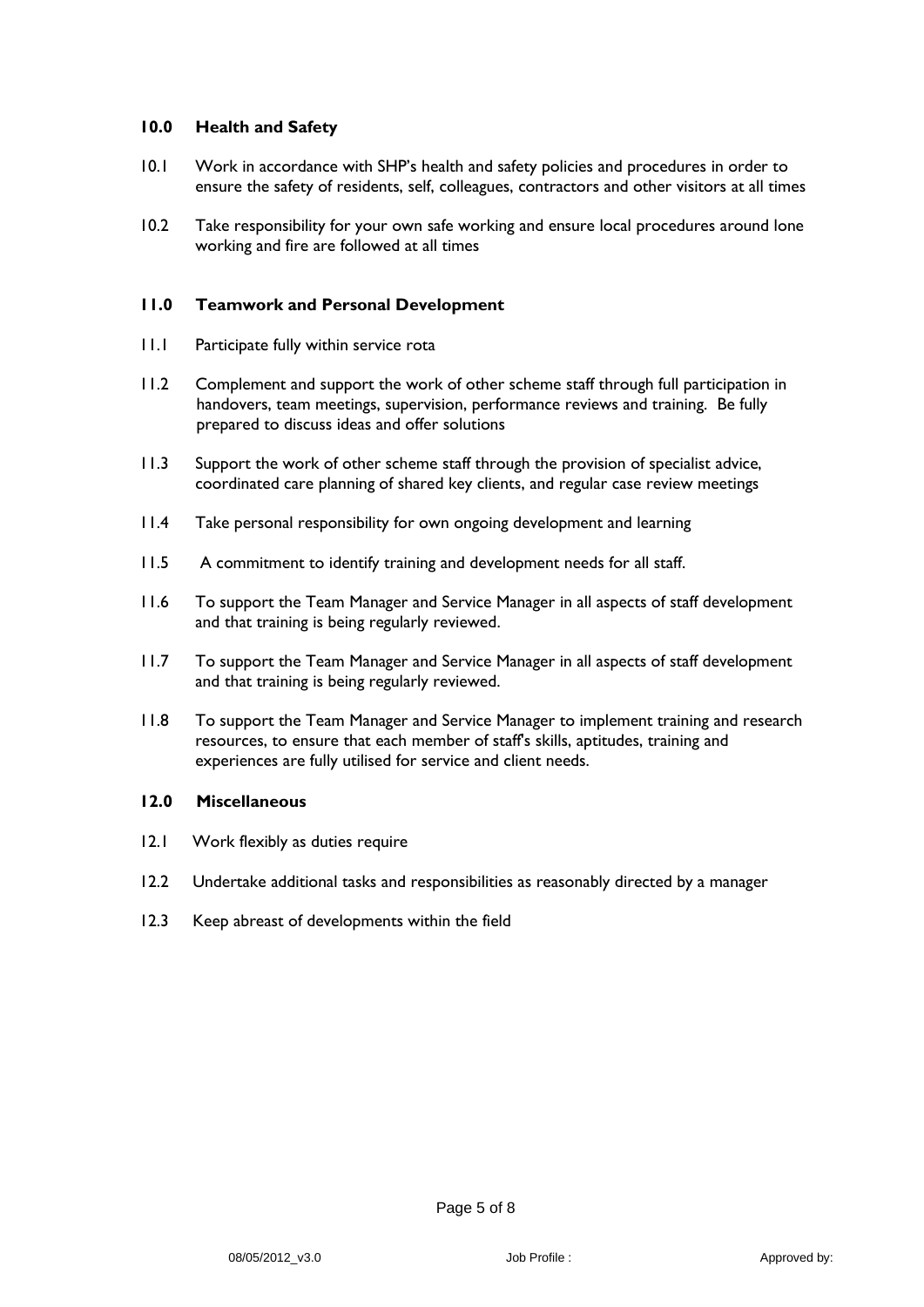#### **10.0 Health and Safety**

- 10.1 Work in accordance with SHP's health and safety policies and procedures in order to ensure the safety of residents, self, colleagues, contractors and other visitors at all times
- 10.2 Take responsibility for your own safe working and ensure local procedures around lone working and fire are followed at all times

#### **11.0 Teamwork and Personal Development**

- 11.1 Participate fully within service rota
- 11.2 Complement and support the work of other scheme staff through full participation in handovers, team meetings, supervision, performance reviews and training. Be fully prepared to discuss ideas and offer solutions
- 11.3 Support the work of other scheme staff through the provision of specialist advice, coordinated care planning of shared key clients, and regular case review meetings
- 11.4 Take personal responsibility for own ongoing development and learning
- 11.5 A commitment to identify training and development needs for all staff.
- 11.6 To support the Team Manager and Service Manager in all aspects of staff development and that training is being regularly reviewed.
- 11.7 To support the Team Manager and Service Manager in all aspects of staff development and that training is being regularly reviewed.
- 11.8 To support the Team Manager and Service Manager to implement training and research resources, to ensure that each member of staff's skills, aptitudes, training and experiences are fully utilised for service and client needs.

#### **12.0 Miscellaneous**

- 12.1 Work flexibly as duties require
- 12.2 Undertake additional tasks and responsibilities as reasonably directed by a manager
- 12.3 Keep abreast of developments within the field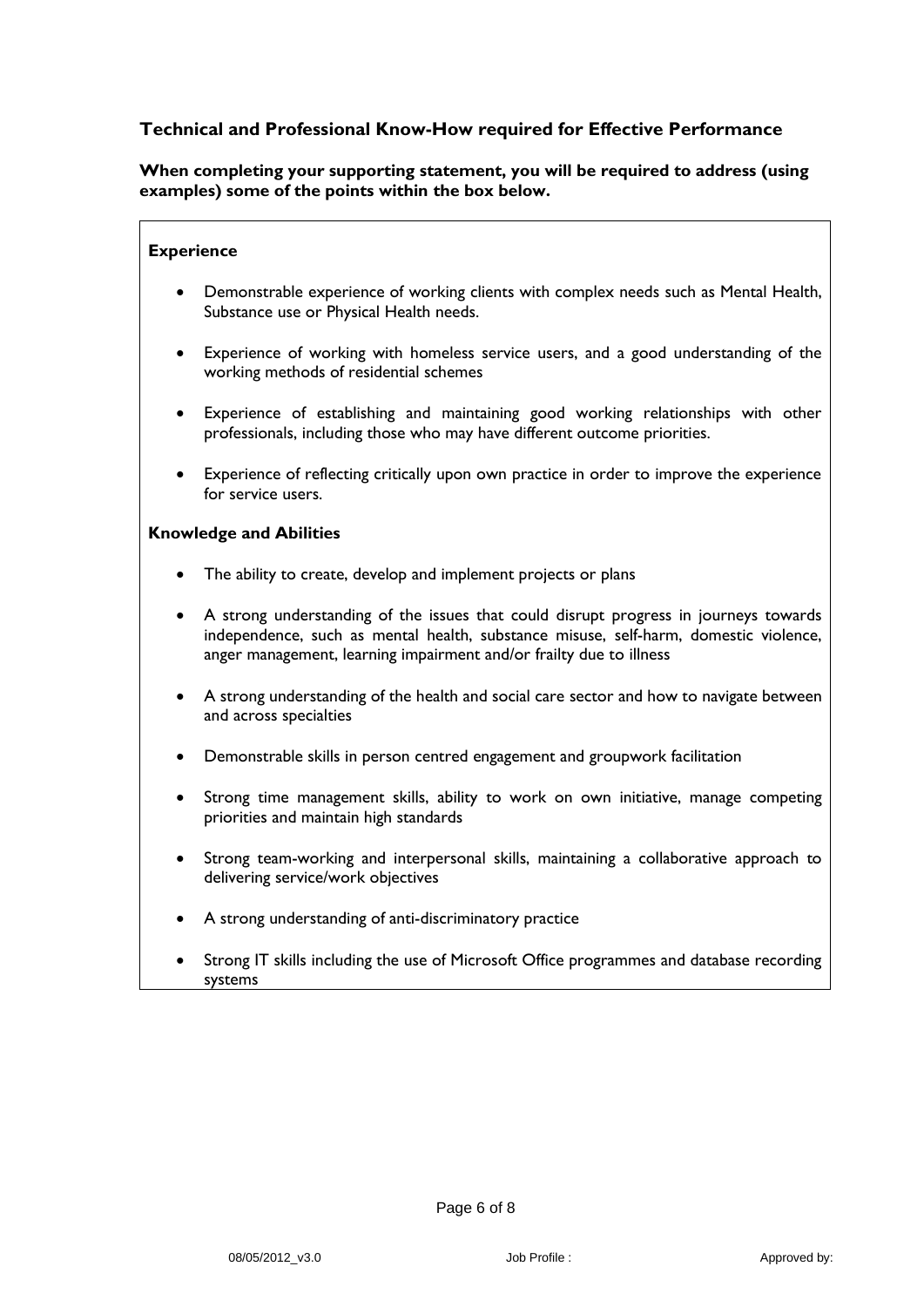# **Technical and Professional Know-How required for Effective Performance**

#### **When completing your supporting statement, you will be required to address (using examples) some of the points within the box below.**

#### **Experience**

- Demonstrable experience of working clients with complex needs such as Mental Health, Substance use or Physical Health needs.
- Experience of working with homeless service users, and a good understanding of the working methods of residential schemes
- Experience of establishing and maintaining good working relationships with other professionals, including those who may have different outcome priorities.
- Experience of reflecting critically upon own practice in order to improve the experience for service users.

#### **Knowledge and Abilities**

- The ability to create, develop and implement projects or plans
- A strong understanding of the issues that could disrupt progress in journeys towards independence, such as mental health, substance misuse, self-harm, domestic violence, anger management, learning impairment and/or frailty due to illness
- A strong understanding of the health and social care sector and how to navigate between and across specialties
- Demonstrable skills in person centred engagement and groupwork facilitation
- Strong time management skills, ability to work on own initiative, manage competing priorities and maintain high standards
- Strong team-working and interpersonal skills, maintaining a collaborative approach to delivering service/work objectives
- A strong understanding of anti-discriminatory practice
- Strong IT skills including the use of Microsoft Office programmes and database recording systems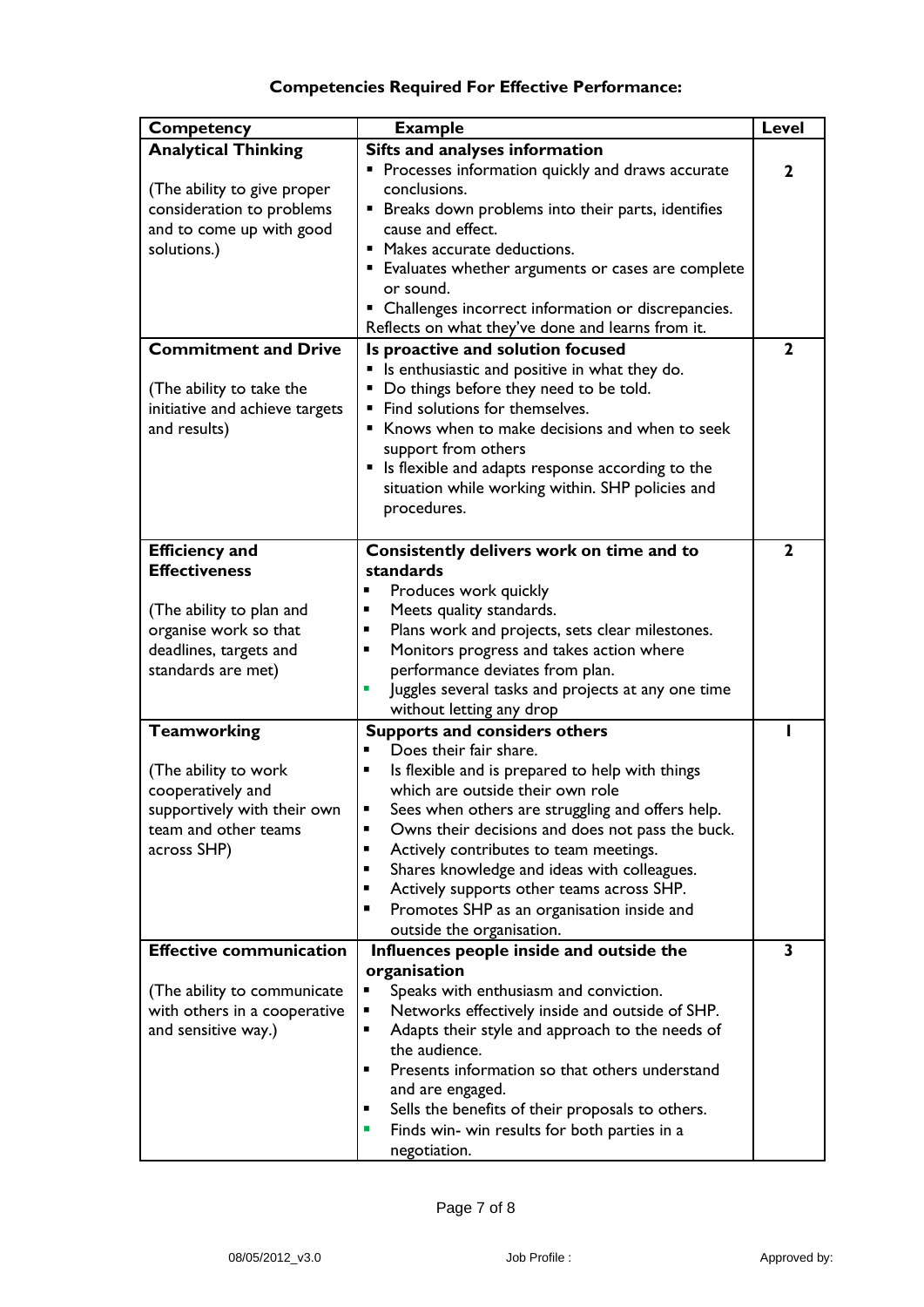# **Competencies Required For Effective Performance:**

| Competency                     | <b>Example</b>                                                             | <b>Level</b> |
|--------------------------------|----------------------------------------------------------------------------|--------------|
| <b>Analytical Thinking</b>     | Sifts and analyses information                                             |              |
|                                | Processes information quickly and draws accurate                           | 2            |
| (The ability to give proper    | conclusions.                                                               |              |
| consideration to problems      | <b>Breaks down problems into their parts, identifies</b>                   |              |
| and to come up with good       | cause and effect.                                                          |              |
| solutions.)                    | " Makes accurate deductions.                                               |              |
|                                | " Evaluates whether arguments or cases are complete                        |              |
|                                | or sound.                                                                  |              |
|                                | • Challenges incorrect information or discrepancies.                       |              |
|                                | Reflects on what they've done and learns from it.                          |              |
| <b>Commitment and Drive</b>    | Is proactive and solution focused                                          | $\mathbf{2}$ |
|                                | " Is enthusiastic and positive in what they do.                            |              |
| (The ability to take the       | Do things before they need to be told.<br>" Find solutions for themselves. |              |
| initiative and achieve targets |                                                                            |              |
| and results)                   | Knows when to make decisions and when to seek                              |              |
|                                | support from others<br>" Is flexible and adapts response according to the  |              |
|                                | situation while working within. SHP policies and                           |              |
|                                | procedures.                                                                |              |
|                                |                                                                            |              |
| <b>Efficiency and</b>          | Consistently delivers work on time and to                                  | $\mathbf{2}$ |
| <b>Effectiveness</b>           | standards                                                                  |              |
|                                | Produces work quickly                                                      |              |
| (The ability to plan and       | Meets quality standards.                                                   |              |
| organise work so that          | Plans work and projects, sets clear milestones.                            |              |
| deadlines, targets and         | Monitors progress and takes action where<br>٠                              |              |
| standards are met)             | performance deviates from plan.                                            |              |
|                                | Juggles several tasks and projects at any one time                         |              |
|                                | without letting any drop                                                   |              |
| <b>Teamworking</b>             | Supports and considers others                                              | ı            |
|                                | Does their fair share.                                                     |              |
| (The ability to work           | Is flexible and is prepared to help with things                            |              |
| cooperatively and              | which are outside their own role                                           |              |
| supportively with their own    | Sees when others are struggling and offers help.                           |              |
| team and other teams           | Owns their decisions and does not pass the buck.                           |              |
| across SHP)                    | Actively contributes to team meetings.                                     |              |
|                                | Shares knowledge and ideas with colleagues.<br>$\blacksquare$              |              |
|                                | Actively supports other teams across SHP.<br>п                             |              |
|                                | Promotes SHP as an organisation inside and<br>п                            |              |
|                                | outside the organisation.                                                  |              |
| <b>Effective communication</b> | Influences people inside and outside the                                   | 3            |
|                                | organisation                                                               |              |
| (The ability to communicate    | Speaks with enthusiasm and conviction.                                     |              |
| with others in a cooperative   | Networks effectively inside and outside of SHP.                            |              |
| and sensitive way.)            | Adapts their style and approach to the needs of<br>$\blacksquare$          |              |
|                                | the audience.                                                              |              |
|                                | Presents information so that others understand                             |              |
|                                | and are engaged.                                                           |              |
|                                | Sells the benefits of their proposals to others.                           |              |
|                                | Finds win- win results for both parties in a<br>negotiation.               |              |